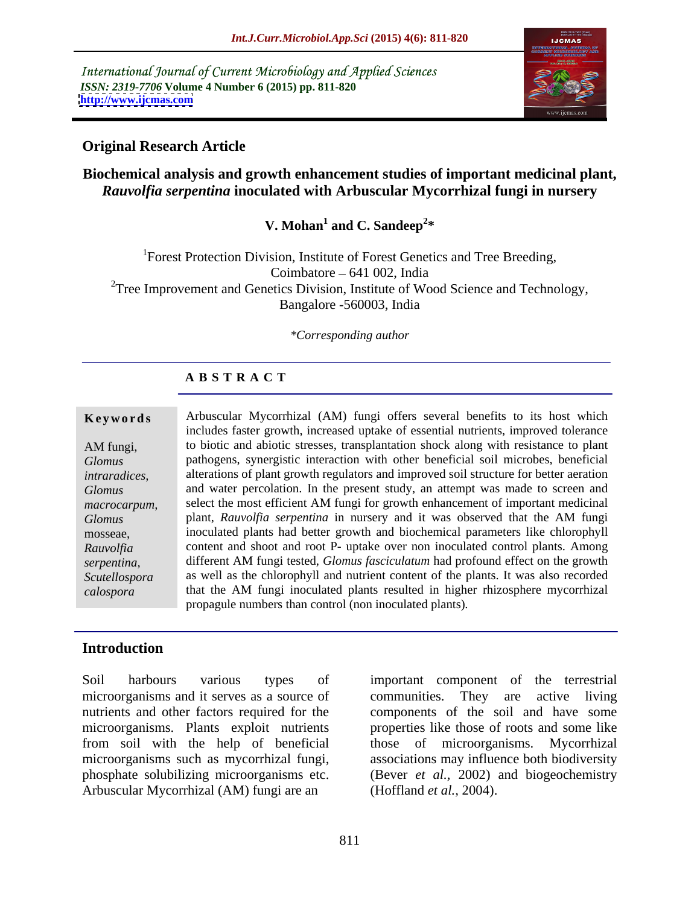International Journal of Current Microbiology and Applied Sciences *ISSN: 2319-7706* **Volume 4 Number 6 (2015) pp. 811-820 <http://www.ijcmas.com>**



## **Original Research Article**

## **Biochemical analysis and growth enhancement studies of important medicinal plant,**  *Rauvolfia serpentina* **inoculated with Arbuscular Mycorrhizal fungi in nursery**

### V. Mohan<sup>1</sup> and C. Sandeep<sup>2\*</sup>  **and C. Sandeep<sup>2</sup> \***

<sup>1</sup>Forest Protection Division, Institute of Forest Genetics and Tree Breeding, Coimbatore - 641 002, India <sup>2</sup>Tree Improvement and Genetics Division, Institute of Wood Science and Technology, Bangalore -560003, India

## *\*Corresponding author*

## **A B S T R A C T**

*calospora*

Arbuscular Mycorrhizal (AM) fungi offers several benefits to its host which includes faster growth, increased uptake of essential nutrients, improved tolerance AM fungi, to biotic and abiotic stresses, transplantation shock along with resistance to plant pathogens, synergistic interaction with other beneficial soil microbes, beneficial *Glomus*  alterations of plant growth regulators and improved soil structure for better aeration *intraradices,*  and water percolation. In the present study, an attempt was made to screen and *Glomus*  select the most efficient AM fungi for growth enhancement of important medicinal *macrocarpum,*  plant, *Rauvolfia serpentina* in nursery and it was observed that the AM fungi *Glomus*  inoculated plants had better growth and biochemical parameters like chlorophyll mosseae, content and shoot and root P- uptake over non inoculated control plants. Among *Rauvolfia*  different AM fungi tested, *Glomus fasciculatum* had profound effect on the growth *serpentina,*  as well as the chlorophyll and nutrient content of the plants. It was also recorded *Scutellospora*  that the AM fungi inoculated plants resulted in higher rhizosphere mycorrhizal **Keywords**<br>
Arbuscular Mycorrhizal (AM) fungi offers several benefits to its host which<br>
includes faster growth, increased uptake of essential nutrients, improved tolerance<br> *Glomus*<br>
control to biotic and abiotic stresses

## **Introduction**

Soil harbours various types of important component of the terrestrial microorganisms and it serves as a source of communities. They are active living nutrients and other factors required for the components of the soil and have some microorganisms. Plants exploit nutrients properties like those of roots and some like from soil with the help of beneficial those of microorganisms. Mycorrhizal microorganisms such as mycorrhizal fungi, associations may influence both biodiversity phosphate solubilizing microorganisms etc. (Bever *et al.,* 2002) and biogeochemistry Arbuscular Mycorrhizal (AM) fungi are an

communities. They are active living (Hoffland *et al.,* 2004).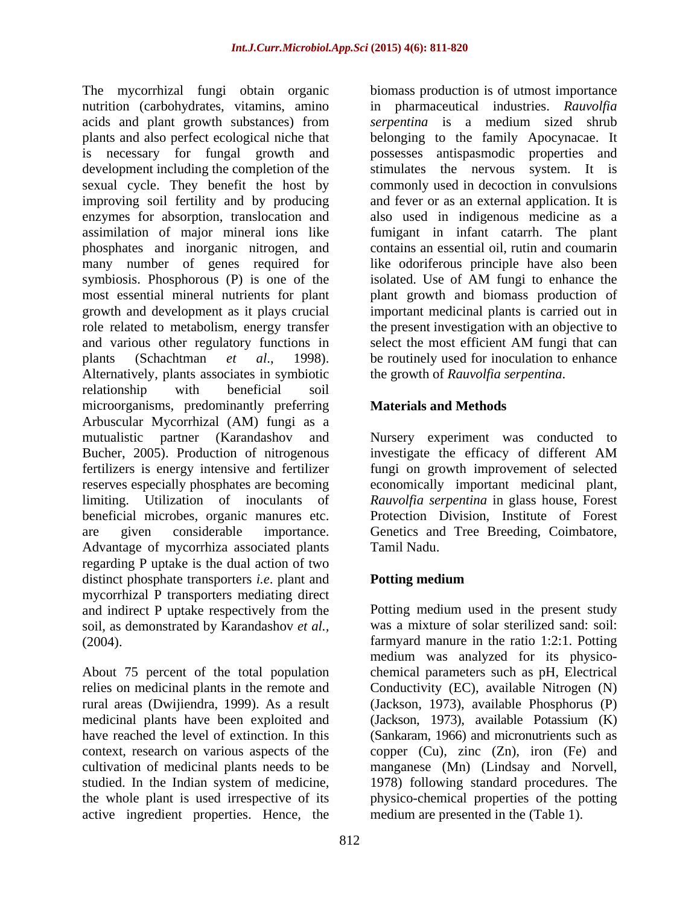The mycorrhizal fungi obtain organic nutrition (carbohydrates, vitamins, amino acids and plant growth substances) from plants and also perfect ecological niche that belonging to the family Apocynacae. It is necessary for fungal growth and possesses antispasmodic properties and development including the completion of the stimulates the nervous system. It is sexual cycle. They benefit the host by commonly used in decoction in convulsions improving soil fertility and by producing and fever or as an external application. It is enzymes for absorption, translocation and also used in indigenous medicine as a assimilation of major mineral ions like phosphates and inorganic nitrogen, and many number of genes required for like odoriferous principle have also been symbiosis. Phosphorous (P) is one of the isolated. Use of AM fungi to enhance the most essential mineral nutrients for plant plant growth and biomass production of growth and development as it plays crucial important medicinal plants is carried out in role related to metabolism, energy transfer the present investigation with an objective to and various other regulatory functions in select the most efficient AM fungi that can plants (Schachtman *et al*., 1998). be routinely used for inoculation to enhance Alternatively, plants associates in symbiotic relationship with beneficial soil microorganisms, predominantly preferring Arbuscular Mycorrhizal (AM) fungi as a mutualistic partner (Karandashov and Nursery experiment was conducted to Bucher, 2005). Production of nitrogenous investigate the efficacy of different AM fertilizers is energy intensive and fertilizer fungi on growth improvement of selected reserves especially phosphates are becoming economically important medicinal plant, limiting. Utilization of inoculants of *Rauvolfia serpentina* in glass house, Forest beneficial microbes, organic manures etc. Protection Division, Institute of Forest are given considerable importance. Genetics and Tree Breeding, Coimbatore, Advantage of mycorrhiza associated plants Tamil Nadu. regarding P uptake is the dual action of two distinct phosphate transporters *i.e*. plant and mycorrhizal P transporters mediating direct and indirect P uptake respectively from the soil, as demonstrated by Karandashov *et al.,*

About 75 percent of the total population cultivation of medicinal plants needs to be manganese (Mn) (Lindsay and Norvell, studied. In the Indian system of medicine, 1978) following standard procedures. The the whole plant is used irrespective of its physico-chemical properties of the potting active ingredient properties. Hence, the

biomass production is of utmost importance in pharmaceutical industries. *Rauvolfia serpentina* is a medium sized shrub fumigant in infant catarrh. The plant contains an essential oil, rutin and coumarin select the most efficient AM fungi that can the growth of *Rauvolfia serpentina*.

## **Materials and Methods**

investigate the efficacy of different AM Tamil Nadu.

## **Potting medium**

(2004). farmyard manure in the ratio 1:2:1. Potting relies on medicinal plants in the remote and Conductivity (EC), available Nitrogen (N) rural areas (Dwijiendra, 1999). As a result (Jackson, 1973), available Phosphorus (P) medicinal plants have been exploited and (Jackson, 1973), available Potassium (K) have reached the level of extinction. In this (Sankaram, 1966) and micronutrients such as context, research on various aspects of the  $\qquad$  copper (Cu), zinc (Zn), iron (Fe) and the whole plant is used irrespective of its physico-chemical properties of the potting Potting medium used in the present study was a mixture of solar sterilized sand: soil: medium was analyzed for its physico chemical parameters such as pH, Electrical manganese (Mn) (Lindsay and Norvell,1978) following standard procedures. The medium are presented in the (Table 1).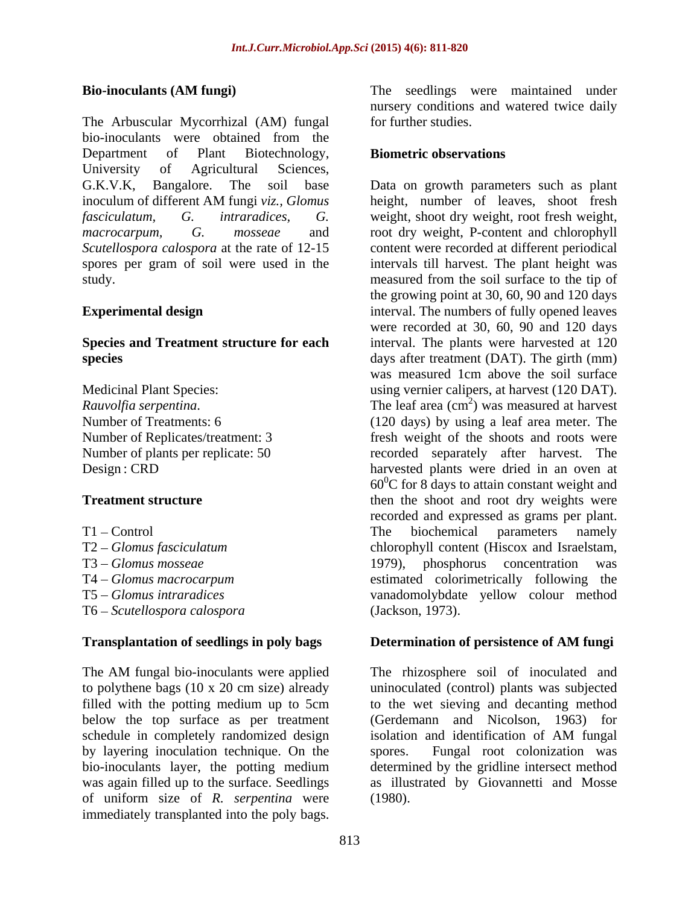The Arbuscular Mycorrhizal (AM) fungal bio-inoculants were obtained from the Department of Plant Biotechnology. **Biometric observations** University of Agricultural Sciences,

T6 *Scutellospora calospora*

below the top surface as per treatment (Gerdemann and Nicolson, 1963) for schedule in completely randomized design isolation and identification of AM fungal by layering inoculation technique. On the spores.<br>bio-inoculants layer, the potting medium determined of uniform size of *R. serpentina* were immediately transplanted into the poly bags.

**Bio-inoculants (AM fungi)** The seedlings were maintained under nursery conditions and watered twice daily for further studies.

## **Biometric observations**

G.K.V.K, Bangalore. The soil base Data on growth parameters such as plant inoculum of different AM fungi *viz., Glomus*  height, number of leaves, shoot fresh *fasciculatum, G. intraradices, G.* weight, shoot dry weight, root fresh weight, *macrocarpum, G. mosseae* and root dry weight, P-content and chlorophyll *Scutellospora calospora* at the rate of 12-15 content were recorded at different periodical spores per gram of soil were used in the intervals till harvest. The plant height was study. measured from the soil surface to the tip of **Experimental design** and **interval.** The numbers of fully opened leaves **Species and Treatment structure for each** interval. The plants were harvested at 120 **species** days after treatment (DAT). The girth (mm) Medicinal Plant Species: using vernier calipers, at harvest (120 DAT). *Rauvolfia serpentina*. The leaf area (cm<sup>2</sup>) was measured at harvest Number of Treatments: 6 (120 days) by using a leaf area meter. The Number of Replicates/treatment: 3 fresh weight of the shoots and roots were Number of plants per replicate: 50 recorded separately after harvest. The Design : CRD harvested plants were dried in an oven at **Treatment structure then** the shoot and root dry weights were T1 – Control The biochemical parameters namely T2 *Glomus fasciculatum* chlorophyll content (Hiscox and Israelstam, T3 *Glomus mosseae* 1979), phosphorus concentration was T4 *Glomus macrocarpum* estimated colorimetrically following the T5 *Glomus intraradices* vanadomolybdate yellow colour method the growing point at 30, 60, 90 and 120 days were recorded at 30, 60, 90 and 120 days was measured 1cm above the soil surface  $60^{\circ}$ C for 8 days to attain constant weight and recorded and expressed as grams per plant. The biochemical parameters namely (Jackson, 1973).

## **Transplantation of seedlings in poly bags Determination of persistence of AM fungi**

The AM fungal bio-inoculants were applied The rhizosphere soil of inoculated and to polythene bags (10 x 20 cm size) already uninoculated (control) plants was subjected filled with the potting medium up to 5cm to the wet sieving and decanting method bio-inoculants layer, the potting medium determined by the gridline intersect method was again filled up to the surface. Seedlings as illustrated by Giovannetti and Mosse  $(Gerdenann$  and Nicolson, 1963) isolation and identification of AM fungal Fungal root colonization was (1980).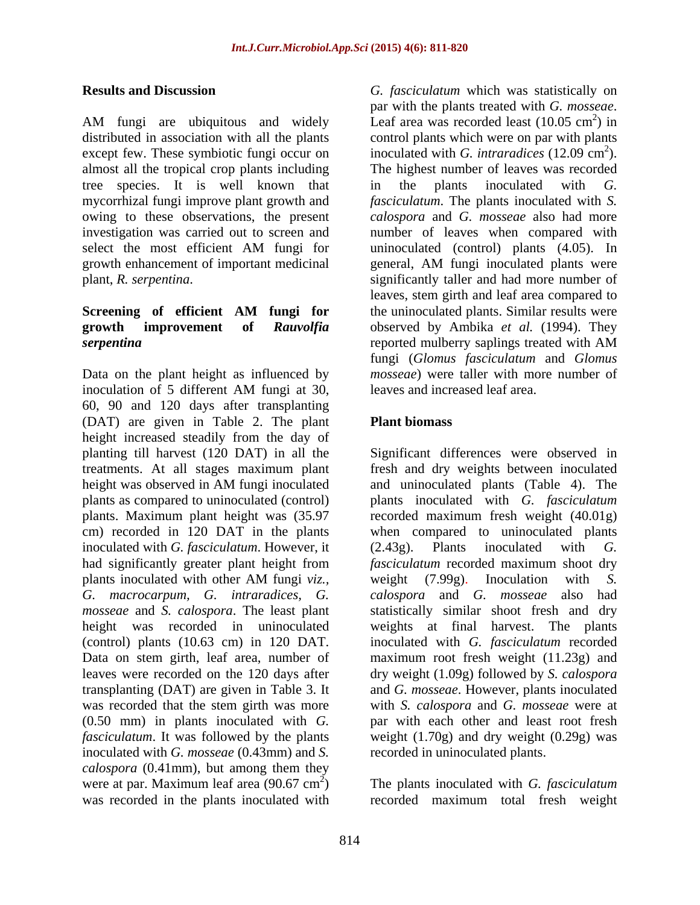almost all the tropical crop plants including tree species. It is well known that in the plants inoculated with G. owing to these observations, the present

# *serpentina serpenting serpenting serpenting serpenting serpenting serpenting serpenting series series series series series series series series series series series series series*

Data on the plant height as influenced by inoculation of 5 different AM fungi at 30, 60, 90 and 120 days after transplanting (DAT) are given in Table 2. The plant **Plant biomass** height increased steadily from the day of cm) recorded in 120 DAT in the plants inoculated with *G. fasciculatum*. However, it had significantly greater plant height from<br>plants inoculated with other AM fungi viz. Data on stem girth, leaf area, number of was recorded that the stem girth was more (0.50 mm) in plants inoculated with *G.*  inoculated with *G. mosseae* (0.43mm) and *S. calospora* (0.41mm), but among them they were at par. Maximum leaf area (90.67 cm<sup>2</sup>) The plants inoculated with *G. fasciculatum* was recorded in the plants inoculated with recorded maximum total fresh weight

**Results and Discussion** *G. fasciculatum* which was statistically on AM fungi are ubiquitous and widely Leaf area was recorded least  $(10.05 \text{ cm}^2)$  in distributed in association with all the plants control plants which were on par with plants except few. These symbiotic fungi occur on inoculated with *G. intraradices* (12.09 cm<sup>2</sup>). mycorrhizal fungi improve plant growth and *fasciculatum*. The plants inoculated with *S.*  investigation was carried out to screen and number of leaves when compared with select the most efficient AM fungi for uninoculated (control) plants (4.05). In growth enhancement of important medicinal general, AM fungi inoculated plants were plant, *R. serpentina*. Significantly taller and had more number of **Screening of efficient AM fungi for growth improvement of** *Rauvolfia*  observed by Ambika *et al.* (1994). They par with the plants treated with *G. mosseae*.<br>Leaf area was recorded least (10.05 cm<sup>2</sup>) in  $2 \rightarrow \infty$  $\sin$  in  $2\sqrt{2}$ ). The highest number of leaves was recorded in the plants inoculated with *G. calospora* and *G. mosseae* also had more uninoculated (control) plants (4.05). In leaves, stem girth and leaf area compared to the uninoculated plants. Similar results were reported mulberry saplings treated with AM fungi (*Glomus fasciculatum* and *Glomus mosseae*) were taller with more number of leaves and increased leaf area.

## **Plant biomass**

planting till harvest (120 DAT) in all the Significant differences were observed in treatments. At all stages maximum plant fresh and dry weights between inoculated height was observed in AM fungi inoculated and uninoculated plants (Table 4). The plants as compared to uninoculated (control) plants inoculated with *G. fasciculatum* plants. Maximum plant height was (35.97 recorded maximum fresh weight (40.01g) plants inoculated with other AM fungi *viz., G. macrocarpum, G. intraradices, G. calospora* and *G. mosseae* also had *mosseae* and *S. calospora*. The least plant statistically similar shoot fresh and dry height was recorded in uninoculated weights at final harvest. The plants (control) plants (10.63 cm) in 120 DAT. inoculated with *G. fasciculatum* recorded leaves were recorded on the 120 days after dry weight (1.09g) followed by *S. calospora* transplanting (DAT) are given in Table 3. It and *G. mosseae*. However, plants inoculated *fasciculatum*. It was followed by the plants weight (1.70g) and dry weight (0.29g) was and uninoculated plants (Table 4). The when compared to uninoculated plants (2.43g). Plants inoculated with *G. fasciculatum* recorded maximum shoot dry weight (7.99g). Inoculation with *S.*  maximum root fresh weight (11.23g) and with *S. calospora* and *G. mosseae* were at par with each other and least root fresh recorded in uninoculated plants.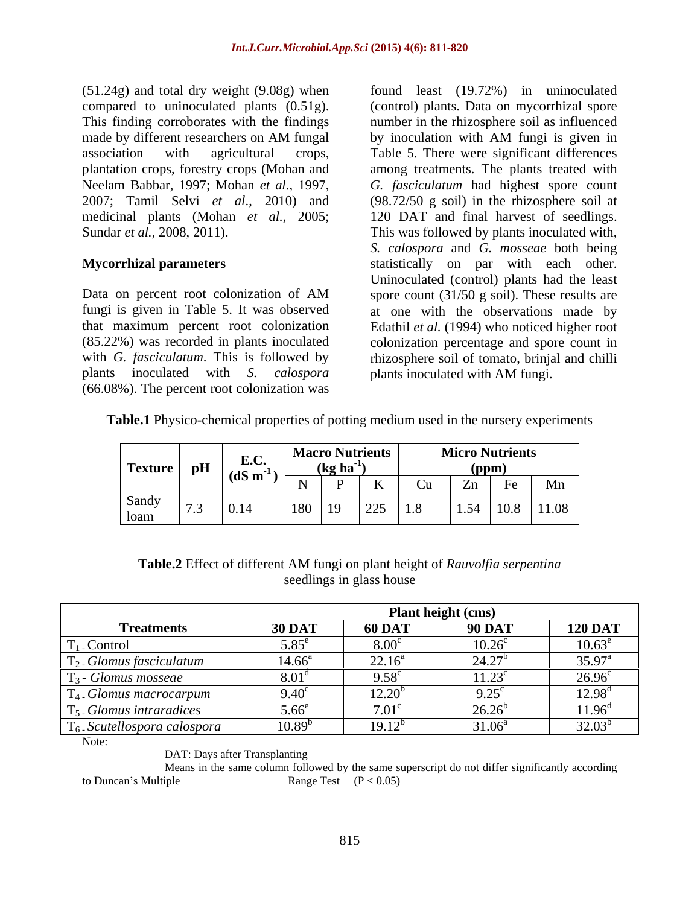(51.24g) and total dry weight (9.08g) when found least (19.72%) in uninoculated This finding corroborates with the findings

plants inoculated with *S. calospora* plants inoculated with AM fungi. (66.08%). The percent root colonization was

compared to uninoculated plants (0.51g). (control) plants. Data on mycorrhizal spore made by different researchers on AM fungal by inoculation with AM fungi is given in association with agricultural crops, Table 5. There were significant differences plantation crops, forestry crops (Mohan and among treatments. The plants treated with Neelam Babbar, 1997; Mohan *et al*., 1997, *G. fasciculatum* had highest spore count 2007; Tamil Selvi *et al*., 2010) and (98.72/50 g soil) in the rhizosphere soil at medicinal plants (Mohan *et al.,* 2005; 120 DAT and final harvest of seedlings. Sundar *et al.*, 2008, 2011). This was followed by plants inoculated with, **Mycorrhizal parameters** statistically on par with each other. Data on percent root colonization of AM spore count (31/50 g soil). These results are fungi is given in Table 5. It was observed at one with the observations made by that maximum percent root colonization Edathil *et al.* (1994) who noticed higher root (85.22%) was recorded in plants inoculated colonization percentage and spore count in with *G. fasciculatum*. This is followed by rhizosphere soil of tomato, brinjal and chilli number in the rhizosphere soil as influenced by inoculation with AM fungi is given in *S. calospora* and *G. mosseae* both being Uninoculated (control) plants had the least

| $\mathbf{E}$ $\alpha$<br>Lov.<br>$\mathbf{r}$<br>Texture<br><b>PIT</b><br>$(dS \, m^{-1})$ | <b>Macro Nutrients</b><br><b>Micro Nutrients</b><br>$(kg ha^{-1})$<br>(ppm)<br>Mn<br>Zn<br>HΔ<br>$\sim$   |
|--------------------------------------------------------------------------------------------|-----------------------------------------------------------------------------------------------------------|
| Sandy<br>0.14<br>$\cdots$<br>loam                                                          | 1.54   10.8   11.08<br>$\Omega$<br>1 Q<br>180<br>رے سے<br>$\mathbf{1} \cdot \mathbf{0}$<br>$\overline{1}$ |

**Table.2** Effect of different AM fungi on plant height of *Rauvolfia serpentina*  seedlings in glass house

|                                 |                   |                 | Plant height (cms)              |                    |
|---------------------------------|-------------------|-----------------|---------------------------------|--------------------|
| <b>Treatments</b>               | <b>30 DAT</b>     | <b>60 DAT</b>   | <b>90 DAT</b>                   | <b>120 DAT</b>     |
| $\Gamma_1$ . Control            | $5.85^{\circ}$    | $8.00^{\circ}$  | $10.26^{\circ}$                 | $10.63^e$          |
| $T_2$ . Glomus fasciculatum     | $14.66^a$         | $22.16^{\circ}$ | $24.27^{b}$                     | $35.97^{\circ}$    |
| $\Gamma_3$ - Glomus mosseae     | 8.01 <sup>a</sup> | $9.58^{\circ}$  | $11.23^c$                       | $26.96^\circ$      |
| $T_4$ . Glomus macrocarpum      | $9.40^{\circ}$    | 10.00<br>12.20  | 0.25c<br>$\lambda \cdot \Delta$ | $12.98^{\text{d}}$ |
| $T_5$ . Glomus intraradices     | $5.66^e$          | $7.01^{\circ}$  | $26.26^{\circ}$                 | $11.96^{\circ}$    |
| $T_6$ . Scutellospora calospora | $10.89^{\circ}$   | $19.12^{p}$     | $31.06^a$                       | $32.03^{b}$        |

Note: when the contract of the contract of the contract of the contract of the contract of the contract of the contract of the contract of the contract of the contract of the contract of the contract of the contract of the

DAT: Days after Transplanting

Means in the same column followed by the same superscript do not differ significantly according to Duncan's Multiple  $\text{Range Test} \quad (P < 0.05)$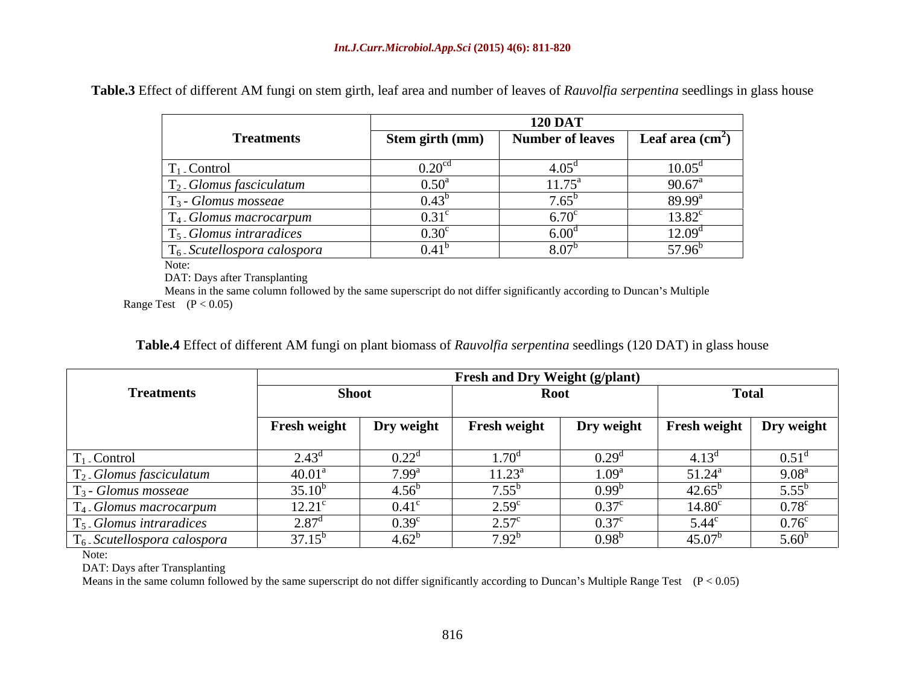|                                 | <b>120 DAT</b>    |                   |                           |
|---------------------------------|-------------------|-------------------|---------------------------|
| <b>Treatments</b>               | Stem girth (mm)   | Number of leaves  | Leaf area $\text{cm}^2$ ) |
| $T_1$ . Control                 | $0.20^{\circ}$    | $4.05^\circ$      | $10.05^{\text{d}}$        |
| $T_2$ . Glomus fasciculatum     | $0.50^{6}$        | $11.75^{\rm a}$   | $90.67^{\circ}$           |
| $T_3$ - Glomus mosseae          | $0.43^{b}$        | 7.650<br>CO. 1    | $89.99^{\circ}$           |
| $T_4$ . Glomus macrocarpum      | $0.31^{\circ}$    | $6.70^{\circ}$    | $13.82^c$                 |
| $T_5$ . Glomus intraradices     | 0.30 <sup>c</sup> | 6.00 <sup>d</sup> | 12.09 <sup>d</sup>        |
| $T_6$ . Scutellospora calospora | $0.41^{b}$        | $8.07^{b}$        | $57.96^{b}$               |
| Note:                           |                   |                   |                           |

**Table.3** Effect of different AM fungi on stem girth, leaf area and number of leaves of *Rauvolfia serpentina* seedlings in glass house

DAT: Days after Transplanting

Means in the same column followed by the same superscript do not differ significantly according to Duncan's Multiple Range Test  $(P < 0.05)$ 

**Table.4** Effect of different AM fungi on plant biomass of *Rauvolfia serpentina* seedlings (120 DAT) in glass house

|                                          | <b>Fresh and Dry Weight (g/plant)</b> |                   |                     |                   |                     |                |  |
|------------------------------------------|---------------------------------------|-------------------|---------------------|-------------------|---------------------|----------------|--|
| <b>Treatments</b>                        | <b>Shoot</b>                          |                   | <b>Root</b>         |                   | <b>Total</b>        |                |  |
|                                          | <b>Fresh weight</b>                   | Dry weight        | <b>Fresh weight</b> | Dry weight        | <b>Fresh weight</b> | Dry weight     |  |
| $T_1$ . Control                          | $2.43^{\circ}$                        | $0.22^d$          | $1.70^\circ$        | 0.29 <sup>c</sup> | $4.13^{\circ}$      | $0.51^{\rm d}$ |  |
| $\Gamma_2$ . Glomus fasciculatum         | $40.01^{\rm a}$                       | $7.99^{\rm a}$    | $11.23^a$           | 1.09 <sup>a</sup> | $51.24^a$           | $9.08^{a}$     |  |
| $T_3$ - Glomus mosseae                   | $35.10^{b}$                           | $4.56^b$          | $7.55^{\circ}$      | $0.99^{\rm b}$    | $42.65^b$           | $5.55^b$       |  |
| 14. Glomus macrocarpum                   | $12.21^{\circ}$                       | $0.41^\circ$      | $2.59^{\circ}$      | $0.37^{\circ}$    | $14.80^{\circ}$     | $0.78^{c}$     |  |
| $\Gamma_5$ . Glomus intraradices         | $2.87^{\rm d}$                        | 0.39 <sup>c</sup> | $2.57^{\circ}$      | $0.37^{\circ}$    | $5.44^{\circ}$      | $0.76^{\circ}$ |  |
| T <sub>6</sub> . Scutellospora calospora | $37.15^{b}$                           | $4.62^t$          | 7.92                | $0.98^{\circ}$    | $45.07^b$           | $5.60^{b}$     |  |

Note: when the contract of the contract of the contract of the contract of the contract of the contract of the contract of the contract of the contract of the contract of the contract of the contract of the contract of the

DAT: Days after Transplanting

Means in the same column followed by the same superscript do not differ significantly according to Duncan's Multiple Range Test  $(P < 0.05)$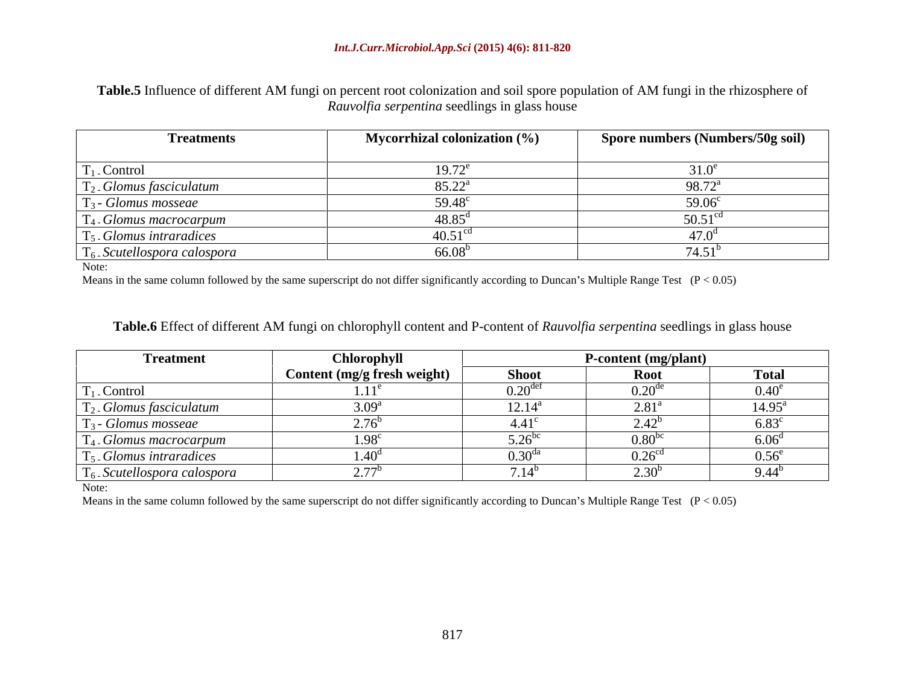**Table.5** Influence of different AM fungi on percent root colonization and soil spore population of AM fungi in the rhizosphere of *Rauvolfia serpentina* seedlings in glass house

| <b>Treatments</b>                   | Mycorrhizal colonization $(\%)$ | <b>Spore numbers (Numbers/50g soil)</b> |
|-------------------------------------|---------------------------------|-----------------------------------------|
|                                     |                                 |                                         |
| $T_1$ . Control                     | $19.72^e$                       | $31.0^\circ$                            |
| $T_2$ . Glomus fasciculatum         | $85.22^a$                       | 98.72 <sup>a</sup>                      |
| $T_3$ - Glomus mosseae              | 59.48                           | $59.06^{\circ}$                         |
| T <sub>4</sub> . Glomus macrocarpum | $48.85^{\circ}$                 | $50.51^{\circ}$                         |
| $T_5$ . Glomus intraradices         | 40.51                           |                                         |
| $T_6$ . Scutellospora calospora     | 66.08                           | 74.51<br>ה +                            |
| Note:                               |                                 |                                         |

Means in the same column followed by the same superscript do not differ significantly according to Duncan's Multiple Range Test  $(P < 0.05)$ 

## **Table.6** Effect of different AM fungi on chlorophyll content and P-content of *Rauvolfia serpentina* seedlings in glass house

| <b>Treatment</b>                | <b>Chlorophyll</b>          | <b>P-content (mg/plant)</b>              |                                   |                      |
|---------------------------------|-----------------------------|------------------------------------------|-----------------------------------|----------------------|
|                                 | Content (mg/g fresh weight) | <b>Shoot</b>                             | <b>Root</b>                       | <b>Total</b>         |
| $T_1$ . Control                 |                             | $\Omega$ $\Omega$ <sup>de:</sup><br>J.∠U | $\Omega$ 20 <sup>de</sup><br>∪.∠∪ | ነ <i>ላ</i> ሰ<br>U.4U |
| $T_2$ . Glomus fasciculatum     | 3.09 <sup>a</sup>           | $12.14^a$                                | 2.81                              | $14.95^{\text{a}}$   |
| $T_3$ - Glomus mosseae          |                             | 41 V<br>4.4 I                            | 1.1<br>∠. ⊤∠                      | $6.83^\circ$         |
| $T_4$ . Glomus macrocarpum      | $-98^\circ$                 | $5.02^\circ$                             | $0.80^{\circ}$                    | $6.06^{\circ}$       |
| $T_5$ . Glomus intraradices     |                             | $0.30^{\circ}$                           | $0.26$ <sup>co</sup>              | $0.56^e$             |
| $T_6$ . Scutellospora calospora | ית ו                        | 711                                      | 2.JU                              | $9.44^{o}$           |

Note: when the contract of the contract of the contract of the contract of the contract of the contract of the contract of the contract of the contract of the contract of the contract of the contract of the contract of the

Means in the same column followed by the same superscript do not differ significantly according to Duncan's Multiple Range Test  $(P < 0.05)$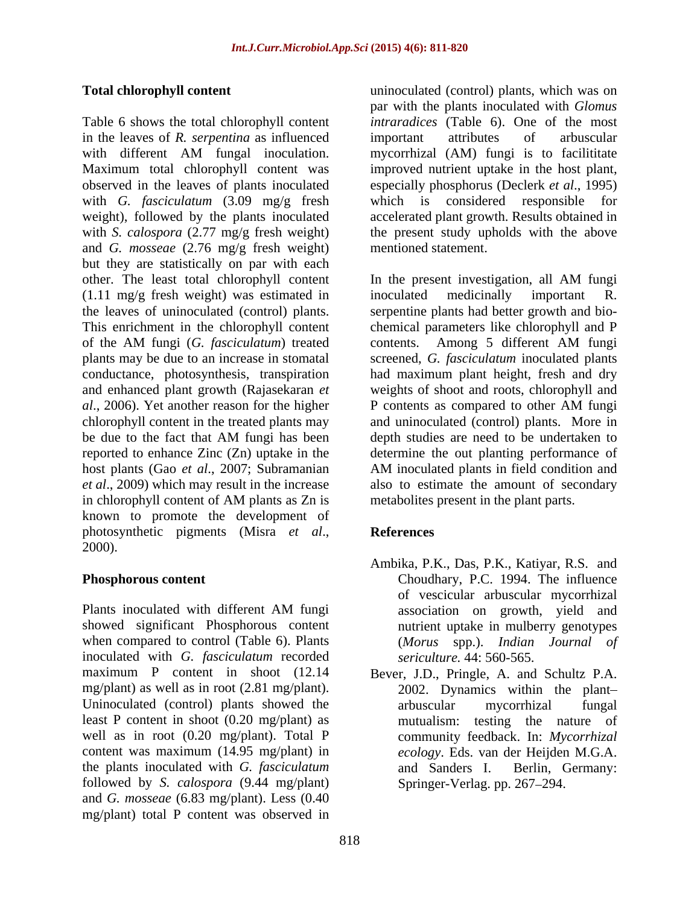Table 6 shows the total chlorophyll content in the leaves of *R. serpentina* as influenced with different AM fungal inoculation. mycorrhizal (AM) fungi is to facilititate Maximum total chlorophyll content was improved nutrient uptake in the host plant, observed in the leaves of plants inoculated especially phosphorus (Declerk *et al*., 1995) with *G. fasciculatum* (3.09 mg/g fresh weight), followed by the plants inoculated accelerated plant growth. Results obtained in with *S. calospora* (2.77 mg/g fresh weight) and *G. mosseae* (2.76 mg/g fresh weight) but they are statistically on par with each other. The least total chlorophyll content In the present investigation, all AM fungi (1.11 mg/g fresh weight) was estimated in the leaves of uninoculated (control) plants. This enrichment in the chlorophyll content of the AM fungi (*G. fasciculatum*) treated plants may be due to an increase in stomatal screened, *G. fasciculatum* inoculated plants conductance, photosynthesis, transpiration had maximum plant height, fresh and dry and enhanced plant growth (Rajasekaran *et*  weights of shoot and roots, chlorophyll and *al.*, 2006). Yet another reason for the higher P contents as compared to other AM fungi chlorophyll content in the treated plants may and uninoculated (control) plants. More in be due to the fact that AM fungi has been depth studies are need to be undertaken to reported to enhance Zinc (Zn) uptake in the determine the out planting performance of host plants (Gao *et al*., 2007; Subramanian AM inoculated plants in field condition and *et al*., 2009) which may result in the increase also to estimate the amount of secondary in chlorophyll content of AM plants as Zn is metabolites present in the plant parts. known to promote the development of photosynthetic pigments (Misra *et al*., 2000).

Plants inoculated with different AM fungi association on growth, yield and showed significant Phosphorous content when compared to control (Table 6). Plants inoculated with *G. fasciculatum* recorded maximum P content in shoot (12.14 Bever, J.D., Pringle, A. and Schultz P.A. mg/plant) as well as in root (2.81 mg/plant). <br>Uninoculated (control) plants showed the arbuscular mycorrhizal fungal least P content in shoot (0.20 mg/plant) as well as in root (0.20 mg/plant). Total P content was maximum (14.95 mg/plant) in *ecology*. Eds. van der Heijden M.G.A. the plants inoculated with *G. fasciculatum* followed by *S. calospora* (9.44 mg/plant) and *G. mosseae* (6.83 mg/plant). Less (0.40 mg/plant) total P content was observed in

**Total chlorophyll content** and a uninoculated (control) plants, which was on par with the plants inoculated with *Glomus intraradices* (Table 6). One of the most important attributes of arbuscular mycorrhizal (AM) fungi is to facilititate which is considered responsible for the present study upholds with the above mentioned statement.

> In the present investigation, all AM fungi inoculated medicinally important R. serpentine plants had better growth and bio chemical parameters like chlorophyll and P contents. Among 5 different AM fungi P contents as compared to other AM fungi depth studies are need to be undertaken to metabolites present in the plant parts.

## **References**

- **Phosphorous content** Choudhary, P.C. 1994. The influence Ambika, P.K., Das, P.K., Katiyar, R.S. and of vescicular arbuscular mycorrhizal association on growth, yield and nutrient uptake in mulberry genotypes (*Morus* spp.). *Indian Journal of sericulture.* 44: 560-565.
	- 2002. Dynamics within the plant arbuscular mycorrhizal fungal mutualism: testing the nature of community feedback. In: *Mycorrhizal*  and Sanders I. Berlin, Germany: Springer-Verlag. pp. 267–294.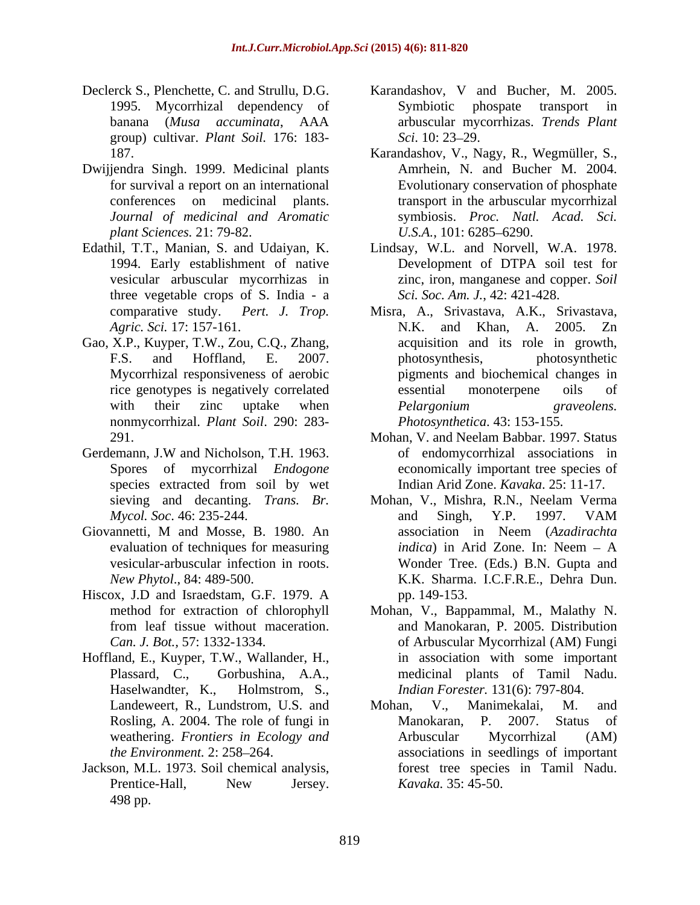- group) cultivar. *Plant Soil.* 176: 183-
- Dwijjendra Singh. 1999. Medicinal plants *Journal of medicinal and Aromatic plant Sciences.* 21: 79-82.
- three vegetable crops of S. India a
- Gao, X.P., Kuyper, T.W., Zou, C.Q., Zhang, nonmycorrhizal. *Plant Soil*. 290: 283-
- 
- 
- Hiscox, J.D and Israedstam, G.F. 1979. A pp. 149-153.
- Hoffland, E., Kuyper, T.W., Wallander, H., Haselwandter, K., Holmstrom, S., *Indian Forester*. 131(6): 797-804.<br>Landeweert, R., Lundstrom, U.S. and Mohan, V., Manimekalai, M. and
- Jackson, M.L. 1973. Soil chemical analysis, 498 pp.
- Declerck S., Plenchette, C. and Strullu, D.G. Karandashov, V and Bucher, M. 2005. 1995. Mycorrhizal dependency of Symbiotic phospate transport in banana (*Musa accuminata*, AAA arbuscular mycorrhizas. *Trends Plant Sci.* 10: 23–29.
	- 187. Karandashov, V., Nagy, R., Wegmüller, S., for survival a report on an international Evolutionary conservation of phosphate conferences on medicinal plants. transport in the arbuscular mycorrhizal Amrhein, N. and Bucher M. 2004. symbiosis. *Proc. Natl. Acad. Sci. U.S.A.*, 101: 6285–6290.
- Edathil, T.T., Manian, S. and Udaiyan, K. Lindsay, W.L. and Norvell, W.A. 1978. 1994. Early establishment of native Development of DTPA soil test for vesicular arbuscular mycorrhizas in zinc, iron, manganese and copper. *Soil Sci. Soc. Am. J.*, 42: 421-428.
	- comparative study. *Pert. J. Trop.* Misra, A., Srivastava, A.K., Srivastava, *Agric. Sci.* 17: 157-161. N.K. and Khan, A. 2005. Zn F.S. and Hoffland, E. 2007. Mycorrhizal responsiveness of aerobic pigments and biochemical changes in rice genotypes is negatively correlated with their zinc uptake when *Pelargonium graveolens.* acquisition and its role in growth, photosynthesis, photosynthetic essential monoterpene oils of *Pelargonium graveolens. Photosynthetica*. 43: 153-155.
- 291. Mohan, V. and Neelam Babbar. 1997. Status Gerdemann, J.W and Nicholson, T.H. 1963. Spores of mycorrhizal *Endogone* economically important tree species of species extracted from soil by wet Indian Arid Zone. Kavaka. 25: 11-17. of endomycorrhizal associations in Indian Arid Zone. *Kavaka*. 25: 11-17.
- sieving and decanting. *Trans. Br.* Mohan, V., Mishra, R.N., Neelam Verma *Mycol. Soc*. 46: 235-244. Giovannetti, M and Mosse, B. 1980. An association in Neem (Azadirachta evaluation of techniques for measuring *indica*) in Arid Zone. In: Neem - A vesicular-arbuscular infection in roots. Wonder Tree. (Eds.) B.N. Gupta and *New Phytol*., 84: 489-500. K.K. Sharma. I.C.F.R.E., Dehra Dun. and Singh, Y.P. 1997. VAM association in Neem (*Azadirachta indica*) in Arid Zone. In: Neem - A pp. 149-153.
	- method for extraction of chlorophyll Mohan, V., Bappammal, M., Malathy N. from leaf tissue without maceration. and Manokaran, P. 2005. Distribution *Can. J. Bot.,* 57: 1332-1334. of Arbuscular Mycorrhizal (AM) Fungi Plassard, C., Gorbushina, A.A., medicinal plants of Tamil Nadu. in association with some important *Indian Forester.* 131(6): 797-804.
	- Rosling, A. 2004. The role of fungi in Manokaran, P. 2007. Status of weathering. *Frontiers in Ecology and the Environment.* 2: 258–264. **associations** in seedlings of important Prentice-Hall, New Jersey. *Kavaka*. 35: 45-50. Mohan, V., Manimekalai, M. and Manokaran, P. 2007. Status of Arbuscular Mycorrhizal (AM) forest tree species in Tamil Nadu. *Kavaka.* 35: 45-50.